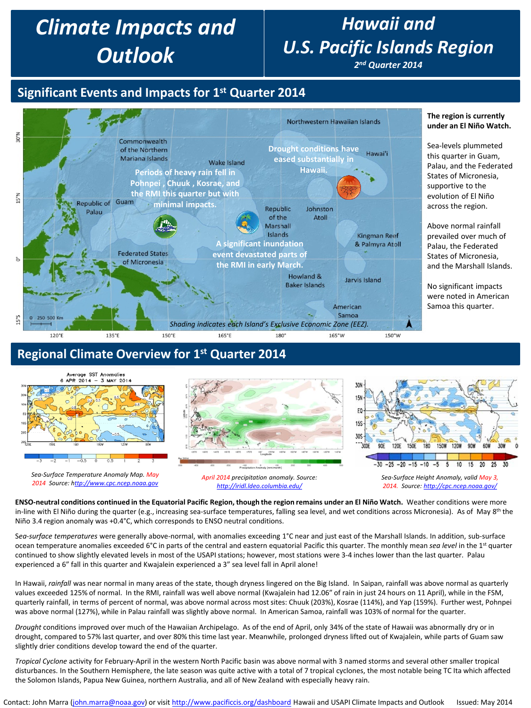# *Climate Impacts and Outlook*

# *Hawaii and U.S. Pacific Islands Region*

*2nd Quarter 2014*

## **Significant Events and Impacts for 1st Quarter 2014**



### **Regional Climate Overview for 1st Quarter 2014**



**ENSO-neutral conditions continued in the Equatorial Pacific Region, though the region remains under an El Niño Watch.** Weather conditions were more in-line with El Niño during the quarter (e.g., increasing sea-surface temperatures, falling sea level, and wet conditions across Micronesia). As of May 8<sup>th</sup> the Niño 3.4 region anomaly was +0.4°C, which corresponds to ENSO neutral conditions.

S*ea-surface temperatures* were generally above-normal, with anomalies exceeding 1°C near and just east of the Marshall Islands. In addition, sub-surface ocean temperature anomalies exceeded 6°C in parts of the central and eastern equatorial Pacific this quarter. The monthly mean *sea level* in the 1st quarter continued to show slightly elevated levels in most of the USAPI stations; however, most stations were 3-4 inches lower than the last quarter. Palau experienced a 6" fall in this quarter and Kwajalein experienced a 3" sea level fall in April alone!

In Hawaii, *rainfall* was near normal in many areas of the state, though dryness lingered on the Big Island. In Saipan, rainfall was above normal as quarterly values exceeded 125% of normal. In the RMI, rainfall was well above normal (Kwajalein had 12.06" of rain in just 24 hours on 11 April), while in the FSM, quarterly rainfall, in terms of percent of normal, was above normal across most sites: Chuuk (203%), Kosrae (114%), and Yap (159%). Further west, Pohnpei was above normal (127%), while in Palau rainfall was slightly above normal. In American Samoa, rainfall was 103% of normal for the quarter.

*Drought* conditions improved over much of the Hawaiian Archipelago. As of the end of April, only 34% of the state of Hawaii was abnormally dry or in drought, compared to 57% last quarter, and over 80% this time last year. Meanwhile, prolonged dryness lifted out of Kwajalein, while parts of Guam saw slightly drier conditions develop toward the end of the quarter.

*Tropical Cyclone* activity for February-April in the western North Pacific basin was above normal with 3 named storms and several other smaller tropical disturbances. In the Southern Hemisphere, the late season was quite active with a total of 7 tropical cyclones, the most notable being TC Ita which affected the Solomon Islands, Papua New Guinea, northern Australia, and all of New Zealand with especially heavy rain.